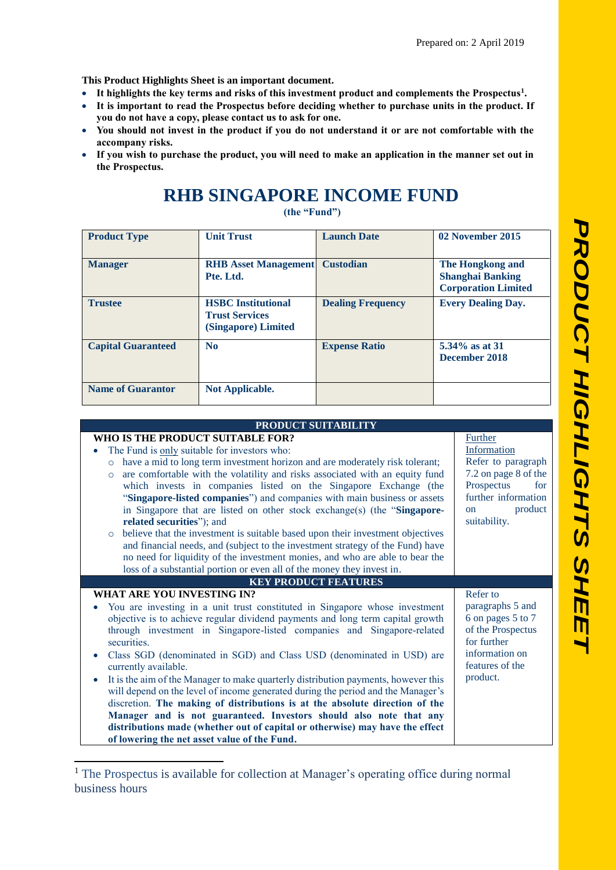**This Product Highlights Sheet is an important document.**

- **It highlights the key terms and risks of this investment product and complements the Prospectus<sup>1</sup> .**
- **It is important to read the Prospectus before deciding whether to purchase units in the product. If you do not have a copy, please contact us to ask for one.**
- **You should not invest in the product if you do not understand it or are not comfortable with the accompany risks.**
- **If you wish to purchase the product, you will need to make an application in the manner set out in the Prospectus.**

## **RHB SINGAPORE INCOME FUND**

**(the "Fund")**

| <b>Product Type</b>       | <b>Unit Trust</b>                                                         | <b>Launch Date</b>       | 02 November 2015                                                          |
|---------------------------|---------------------------------------------------------------------------|--------------------------|---------------------------------------------------------------------------|
| <b>Manager</b>            | <b>RHB</b> Asset Management<br>Pte. Ltd.                                  | <b>Custodian</b>         | The Hongkong and<br><b>Shanghai Banking</b><br><b>Corporation Limited</b> |
| <b>Trustee</b>            | <b>HSBC</b> Institutional<br><b>Trust Services</b><br>(Singapore) Limited | <b>Dealing Frequency</b> | <b>Every Dealing Day.</b>                                                 |
| <b>Capital Guaranteed</b> | N <sub>0</sub>                                                            | <b>Expense Ratio</b>     | 5.34% as at 31<br>December 2018                                           |
| <b>Name of Guarantor</b>  | <b>Not Applicable.</b>                                                    |                          |                                                                           |

## **PRODUCT SUITABILITY**

| Further                  |
|--------------------------|
| Information              |
| Refer to paragraph       |
| 7.2 on page 8 of the     |
| Prospectus<br>for        |
| further information      |
| product<br><sub>on</sub> |
| suitability.             |
|                          |
|                          |
|                          |
|                          |
|                          |
|                          |
| Refer to                 |
| paragraphs 5 and         |
| 6 on pages 5 to 7        |
| of the Prospectus        |
| for further              |
| information on           |
| features of the          |
| product.                 |
|                          |
|                          |
|                          |
|                          |
|                          |

<sup>1</sup> The Prospectus is available for collection at Manager's operating office during normal business hours

**.**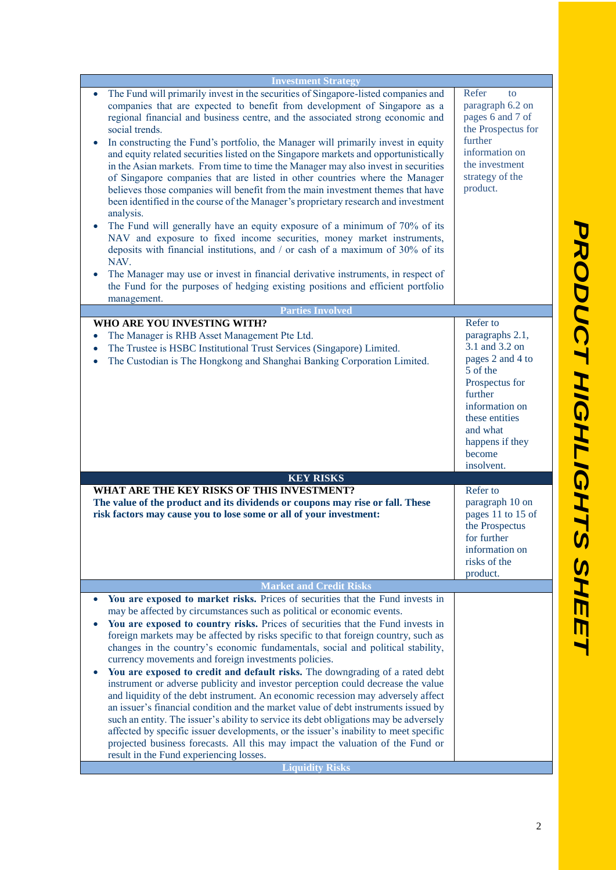| <b>Investment Strategy</b><br>The Fund will primarily invest in the securities of Singapore-listed companies and<br>companies that are expected to benefit from development of Singapore as a<br>regional financial and business centre, and the associated strong economic and<br>social trends.<br>In constructing the Fund's portfolio, the Manager will primarily invest in equity<br>$\bullet$<br>and equity related securities listed on the Singapore markets and opportunistically                                                                                                                                                                                                                                                                                                                  |                                                                                                                                                                                                       |
|-------------------------------------------------------------------------------------------------------------------------------------------------------------------------------------------------------------------------------------------------------------------------------------------------------------------------------------------------------------------------------------------------------------------------------------------------------------------------------------------------------------------------------------------------------------------------------------------------------------------------------------------------------------------------------------------------------------------------------------------------------------------------------------------------------------|-------------------------------------------------------------------------------------------------------------------------------------------------------------------------------------------------------|
| in the Asian markets. From time to time the Manager may also invest in securities<br>of Singapore companies that are listed in other countries where the Manager<br>believes those companies will benefit from the main investment themes that have<br>been identified in the course of the Manager's proprietary research and investment<br>analysis.<br>The Fund will generally have an equity exposure of a minimum of 70% of its<br>$\bullet$<br>NAV and exposure to fixed income securities, money market instruments,<br>deposits with financial institutions, and / or cash of a maximum of 30% of its<br>NAV.<br>The Manager may use or invest in financial derivative instruments, in respect of<br>the Fund for the purposes of hedging existing positions and efficient portfolio<br>management. | Refer<br>to<br>paragraph 6.2 on<br>pages 6 and 7 of<br>the Prospectus for<br>further<br>information on<br>the investment<br>strategy of the<br>product.                                               |
| <b>Parties Involved</b>                                                                                                                                                                                                                                                                                                                                                                                                                                                                                                                                                                                                                                                                                                                                                                                     |                                                                                                                                                                                                       |
| WHO ARE YOU INVESTING WITH?<br>The Manager is RHB Asset Management Pte Ltd.<br>The Trustee is HSBC Institutional Trust Services (Singapore) Limited.<br>$\bullet$<br>The Custodian is The Hongkong and Shanghai Banking Corporation Limited.<br>$\bullet$                                                                                                                                                                                                                                                                                                                                                                                                                                                                                                                                                   | Refer to<br>paragraphs 2.1,<br>3.1 and 3.2 on<br>pages 2 and 4 to<br>5 of the<br>Prospectus for<br>further<br>information on<br>these entities<br>and what<br>happens if they<br>become<br>insolvent. |
| <b>KEY RISKS</b>                                                                                                                                                                                                                                                                                                                                                                                                                                                                                                                                                                                                                                                                                                                                                                                            |                                                                                                                                                                                                       |
| WHAT ARE THE KEY RISKS OF THIS INVESTMENT?<br>The value of the product and its dividends or coupons may rise or fall. These<br>risk factors may cause you to lose some or all of your investment:                                                                                                                                                                                                                                                                                                                                                                                                                                                                                                                                                                                                           | Refer to<br>paragraph 10 on<br>pages 11 to 15 of<br>the Prospectus<br>for further<br>information on<br>risks of the<br>product.                                                                       |
| <b>Market and Credit Risks</b>                                                                                                                                                                                                                                                                                                                                                                                                                                                                                                                                                                                                                                                                                                                                                                              |                                                                                                                                                                                                       |
| You are exposed to market risks. Prices of securities that the Fund invests in<br>$\bullet$                                                                                                                                                                                                                                                                                                                                                                                                                                                                                                                                                                                                                                                                                                                 |                                                                                                                                                                                                       |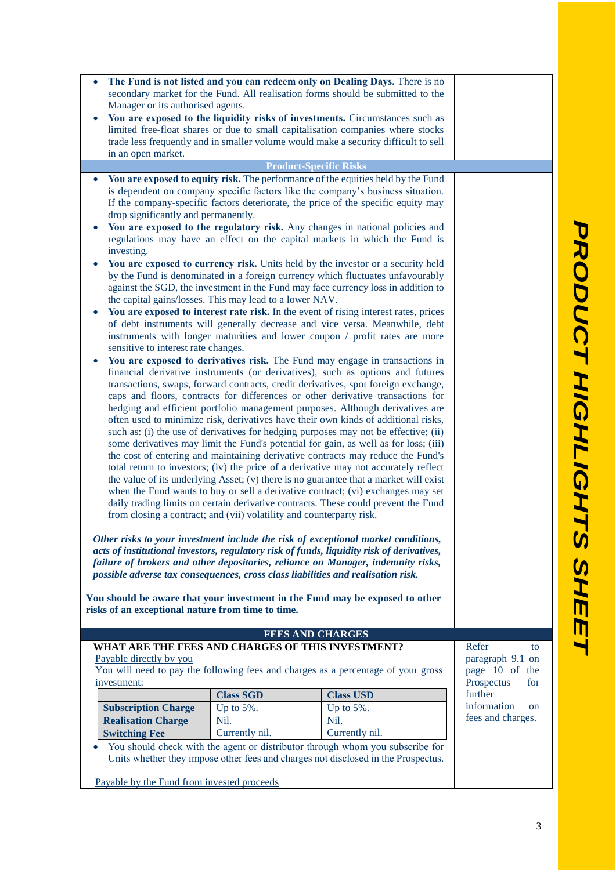| $\bullet$                                                                                                                                                               |                                                                                                                                                                        | The Fund is not listed and you can redeem only on Dealing Days. There is no                                                                                          |                              |  |
|-------------------------------------------------------------------------------------------------------------------------------------------------------------------------|------------------------------------------------------------------------------------------------------------------------------------------------------------------------|----------------------------------------------------------------------------------------------------------------------------------------------------------------------|------------------------------|--|
|                                                                                                                                                                         |                                                                                                                                                                        | secondary market for the Fund. All realisation forms should be submitted to the                                                                                      |                              |  |
|                                                                                                                                                                         | Manager or its authorised agents.                                                                                                                                      |                                                                                                                                                                      |                              |  |
|                                                                                                                                                                         | You are exposed to the liquidity risks of investments. Circumstances such as                                                                                           |                                                                                                                                                                      |                              |  |
|                                                                                                                                                                         | limited free-float shares or due to small capitalisation companies where stocks<br>trade less frequently and in smaller volume would make a security difficult to sell |                                                                                                                                                                      |                              |  |
| in an open market.                                                                                                                                                      |                                                                                                                                                                        |                                                                                                                                                                      |                              |  |
|                                                                                                                                                                         |                                                                                                                                                                        | <b>Product-Specific Risks</b>                                                                                                                                        |                              |  |
|                                                                                                                                                                         |                                                                                                                                                                        | You are exposed to equity risk. The performance of the equities held by the Fund                                                                                     |                              |  |
|                                                                                                                                                                         |                                                                                                                                                                        | is dependent on company specific factors like the company's business situation.                                                                                      |                              |  |
|                                                                                                                                                                         | If the company-specific factors deteriorate, the price of the specific equity may                                                                                      |                                                                                                                                                                      |                              |  |
|                                                                                                                                                                         | drop significantly and permanently.                                                                                                                                    |                                                                                                                                                                      |                              |  |
|                                                                                                                                                                         |                                                                                                                                                                        | You are exposed to the regulatory risk. Any changes in national policies and                                                                                         |                              |  |
|                                                                                                                                                                         |                                                                                                                                                                        | regulations may have an effect on the capital markets in which the Fund is                                                                                           |                              |  |
| investing.                                                                                                                                                              |                                                                                                                                                                        |                                                                                                                                                                      |                              |  |
|                                                                                                                                                                         |                                                                                                                                                                        | You are exposed to currency risk. Units held by the investor or a security held                                                                                      |                              |  |
|                                                                                                                                                                         | by the Fund is denominated in a foreign currency which fluctuates unfavourably<br>against the SGD, the investment in the Fund may face currency loss in addition to    |                                                                                                                                                                      |                              |  |
|                                                                                                                                                                         | the capital gains/losses. This may lead to a lower NAV.                                                                                                                |                                                                                                                                                                      |                              |  |
|                                                                                                                                                                         |                                                                                                                                                                        | You are exposed to interest rate risk. In the event of rising interest rates, prices                                                                                 |                              |  |
|                                                                                                                                                                         | of debt instruments will generally decrease and vice versa. Meanwhile, debt                                                                                            |                                                                                                                                                                      |                              |  |
|                                                                                                                                                                         |                                                                                                                                                                        | instruments with longer maturities and lower coupon / profit rates are more                                                                                          |                              |  |
|                                                                                                                                                                         | sensitive to interest rate changes.<br>You are exposed to derivatives risk. The Fund may engage in transactions in                                                     |                                                                                                                                                                      |                              |  |
| $\bullet$                                                                                                                                                               |                                                                                                                                                                        |                                                                                                                                                                      |                              |  |
|                                                                                                                                                                         |                                                                                                                                                                        | financial derivative instruments (or derivatives), such as options and futures                                                                                       |                              |  |
|                                                                                                                                                                         | transactions, swaps, forward contracts, credit derivatives, spot foreign exchange,<br>caps and floors, contracts for differences or other derivative transactions for  |                                                                                                                                                                      |                              |  |
| hedging and efficient portfolio management purposes. Although derivatives are                                                                                           |                                                                                                                                                                        |                                                                                                                                                                      |                              |  |
| often used to minimize risk, derivatives have their own kinds of additional risks,                                                                                      |                                                                                                                                                                        |                                                                                                                                                                      |                              |  |
| such as: (i) the use of derivatives for hedging purposes may not be effective; (ii)                                                                                     |                                                                                                                                                                        |                                                                                                                                                                      |                              |  |
| some derivatives may limit the Fund's potential for gain, as well as for loss; (iii)                                                                                    |                                                                                                                                                                        |                                                                                                                                                                      |                              |  |
| the cost of entering and maintaining derivative contracts may reduce the Fund's<br>total return to investors; (iv) the price of a derivative may not accurately reflect |                                                                                                                                                                        |                                                                                                                                                                      |                              |  |
| the value of its underlying Asset; (v) there is no guarantee that a market will exist                                                                                   |                                                                                                                                                                        |                                                                                                                                                                      |                              |  |
| when the Fund wants to buy or sell a derivative contract; (vi) exchanges may set                                                                                        |                                                                                                                                                                        |                                                                                                                                                                      |                              |  |
| daily trading limits on certain derivative contracts. These could prevent the Fund                                                                                      |                                                                                                                                                                        |                                                                                                                                                                      |                              |  |
| from closing a contract; and (vii) volatility and counterparty risk.                                                                                                    |                                                                                                                                                                        |                                                                                                                                                                      |                              |  |
|                                                                                                                                                                         |                                                                                                                                                                        |                                                                                                                                                                      |                              |  |
|                                                                                                                                                                         |                                                                                                                                                                        | Other risks to your investment include the risk of exceptional market conditions,                                                                                    |                              |  |
|                                                                                                                                                                         |                                                                                                                                                                        | acts of institutional investors, regulatory risk of funds, liquidity risk of derivatives,                                                                            |                              |  |
|                                                                                                                                                                         |                                                                                                                                                                        | failure of brokers and other depositories, reliance on Manager, indemnity risks,<br>possible adverse tax consequences, cross class liabilities and realisation risk. |                              |  |
|                                                                                                                                                                         |                                                                                                                                                                        |                                                                                                                                                                      |                              |  |
|                                                                                                                                                                         |                                                                                                                                                                        | You should be aware that your investment in the Fund may be exposed to other                                                                                         |                              |  |
| risks of an exceptional nature from time to time.                                                                                                                       |                                                                                                                                                                        |                                                                                                                                                                      |                              |  |
|                                                                                                                                                                         |                                                                                                                                                                        |                                                                                                                                                                      |                              |  |
| WHAT ARE THE FEES AND CHARGES OF THIS INVESTMENT?                                                                                                                       |                                                                                                                                                                        | <b>FEES AND CHARGES</b>                                                                                                                                              | Refer<br>to                  |  |
| Payable directly by you                                                                                                                                                 |                                                                                                                                                                        |                                                                                                                                                                      | paragraph 9.1 on             |  |
|                                                                                                                                                                         |                                                                                                                                                                        | You will need to pay the following fees and charges as a percentage of your gross                                                                                    | page 10 of the               |  |
| investment:                                                                                                                                                             |                                                                                                                                                                        |                                                                                                                                                                      | Prospectus<br>for            |  |
|                                                                                                                                                                         | <b>Class SGD</b>                                                                                                                                                       | <b>Class USD</b>                                                                                                                                                     | further                      |  |
| <b>Subscription Charge</b>                                                                                                                                              | Up to 5%.                                                                                                                                                              | Up to 5%.                                                                                                                                                            | information<br><sub>on</sub> |  |
| <b>Realisation Charge</b>                                                                                                                                               | Nil.                                                                                                                                                                   | Nil.                                                                                                                                                                 | fees and charges.            |  |
| <b>Switching Fee</b>                                                                                                                                                    | Currently nil.                                                                                                                                                         | Currently nil.                                                                                                                                                       |                              |  |
|                                                                                                                                                                         |                                                                                                                                                                        | You should check with the agent or distributor through whom you subscribe for<br>Units whether they impose other fees and charges not disclosed in the Prospectus.   |                              |  |
|                                                                                                                                                                         |                                                                                                                                                                        |                                                                                                                                                                      |                              |  |
| Payable by the Fund from invested proceeds                                                                                                                              |                                                                                                                                                                        |                                                                                                                                                                      |                              |  |

PRODUCT HIGHLIGHTS SHEET *PRODUCT HIGHLIGHTS SHEET*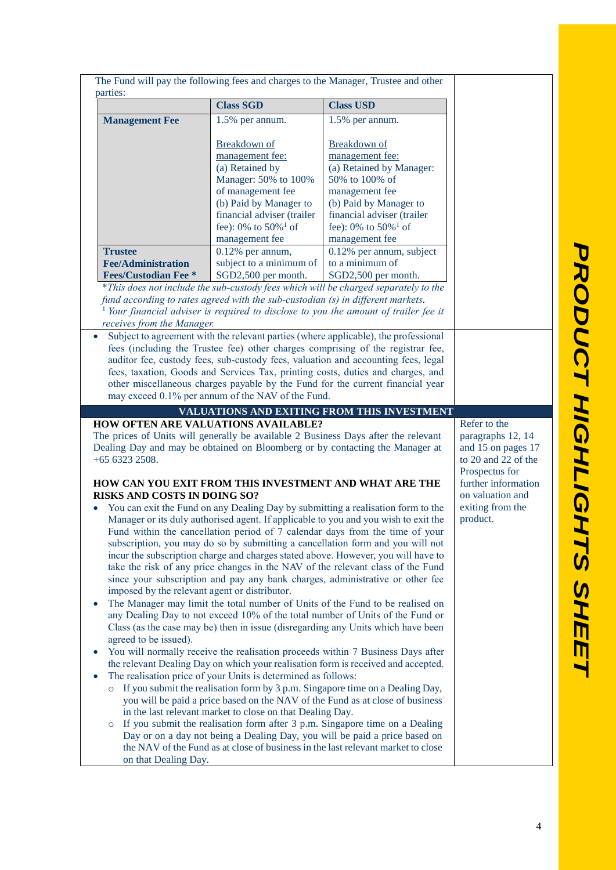| parties:                                                                                           |                                                                                 | The Fund will pay the following fees and charges to the Manager, Trustee and other                                                                                  |                              |
|----------------------------------------------------------------------------------------------------|---------------------------------------------------------------------------------|---------------------------------------------------------------------------------------------------------------------------------------------------------------------|------------------------------|
|                                                                                                    | <b>Class SGD</b>                                                                | <b>Class USD</b>                                                                                                                                                    |                              |
| <b>Management Fee</b>                                                                              | 1.5% per annum.                                                                 | 1.5% per annum.                                                                                                                                                     |                              |
|                                                                                                    |                                                                                 |                                                                                                                                                                     |                              |
|                                                                                                    | Breakdown of<br>management fee:                                                 | Breakdown of<br>management fee:                                                                                                                                     |                              |
|                                                                                                    | (a) Retained by                                                                 | (a) Retained by Manager:                                                                                                                                            |                              |
|                                                                                                    | Manager: 50% to 100%                                                            | 50% to 100% of                                                                                                                                                      |                              |
|                                                                                                    | of management fee                                                               | management fee                                                                                                                                                      |                              |
|                                                                                                    | (b) Paid by Manager to                                                          | (b) Paid by Manager to                                                                                                                                              |                              |
|                                                                                                    | financial adviser (trailer                                                      | financial adviser (trailer                                                                                                                                          |                              |
|                                                                                                    | fee): $0\%$ to $50\%$ <sup>1</sup> of<br>management fee                         | fee): $0\%$ to $50\%$ <sup>1</sup> of<br>management fee                                                                                                             |                              |
| <b>Trustee</b>                                                                                     | $0.12%$ per annum,                                                              | 0.12% per annum, subject                                                                                                                                            |                              |
| <b>Fee/Administration</b>                                                                          | subject to a minimum of                                                         | to a minimum of                                                                                                                                                     |                              |
| <b>Fees/Custodian Fee *</b>                                                                        | SGD2,500 per month.                                                             | SGD2,500 per month.                                                                                                                                                 |                              |
|                                                                                                    |                                                                                 | *This does not include the sub-custody fees which will be charged separately to the                                                                                 |                              |
|                                                                                                    | fund according to rates agreed with the sub-custodian (s) in different markets. |                                                                                                                                                                     |                              |
| receives from the Manager.                                                                         |                                                                                 | Your financial adviser is required to disclose to you the amount of trailer fee it                                                                                  |                              |
| $\bullet$                                                                                          |                                                                                 | Subject to agreement with the relevant parties (where applicable), the professional                                                                                 |                              |
|                                                                                                    |                                                                                 | fees (including the Trustee fee) other charges comprising of the registrar fee,                                                                                     |                              |
|                                                                                                    |                                                                                 | auditor fee, custody fees, sub-custody fees, valuation and accounting fees, legal                                                                                   |                              |
|                                                                                                    |                                                                                 | fees, taxation, Goods and Services Tax, printing costs, duties and charges, and<br>other miscellaneous charges payable by the Fund for the current financial year   |                              |
|                                                                                                    | may exceed 0.1% per annum of the NAV of the Fund.                               |                                                                                                                                                                     |                              |
|                                                                                                    |                                                                                 | VALUATIONS AND EXITING FROM THIS INVESTMENT                                                                                                                         |                              |
| <b>HOW OFTEN ARE VALUATIONS AVAILABLE?</b>                                                         |                                                                                 |                                                                                                                                                                     | Refer to the                 |
|                                                                                                    |                                                                                 | The prices of Units will generally be available 2 Business Days after the relevant                                                                                  | paragraphs 12, 14            |
| Dealing Day and may be obtained on Bloomberg or by contacting the Manager at<br>and 15 on pages 17 |                                                                                 |                                                                                                                                                                     |                              |
| $+6563232508.$<br>to 20 and 22 of the                                                              |                                                                                 |                                                                                                                                                                     |                              |
| Prospectus for                                                                                     |                                                                                 |                                                                                                                                                                     |                              |
| HOW CAN YOU EXIT FROM THIS INVESTMENT AND WHAT ARE THE                                             |                                                                                 |                                                                                                                                                                     |                              |
|                                                                                                    |                                                                                 |                                                                                                                                                                     | further information          |
| <b>RISKS AND COSTS IN DOING SO?</b>                                                                |                                                                                 |                                                                                                                                                                     | on valuation and             |
|                                                                                                    |                                                                                 | You can exit the Fund on any Dealing Day by submitting a realisation form to the                                                                                    | exiting from the<br>product. |
|                                                                                                    |                                                                                 | Manager or its duly authorised agent. If applicable to you and you wish to exit the<br>Fund within the cancellation period of 7 calendar days from the time of your |                              |
|                                                                                                    |                                                                                 | subscription, you may do so by submitting a cancellation form and you will not                                                                                      |                              |
|                                                                                                    |                                                                                 | incur the subscription charge and charges stated above. However, you will have to                                                                                   |                              |
|                                                                                                    |                                                                                 | take the risk of any price changes in the NAV of the relevant class of the Fund                                                                                     |                              |
|                                                                                                    |                                                                                 | since your subscription and pay any bank charges, administrative or other fee                                                                                       |                              |
| imposed by the relevant agent or distributor.                                                      |                                                                                 |                                                                                                                                                                     |                              |
|                                                                                                    |                                                                                 | The Manager may limit the total number of Units of the Fund to be realised on                                                                                       |                              |
|                                                                                                    |                                                                                 | any Dealing Day to not exceed 10% of the total number of Units of the Fund or<br>Class (as the case may be) then in issue (disregarding any Units which have been   |                              |
| agreed to be issued).                                                                              |                                                                                 |                                                                                                                                                                     |                              |
|                                                                                                    |                                                                                 | You will normally receive the realisation proceeds within 7 Business Days after                                                                                     |                              |
|                                                                                                    |                                                                                 | the relevant Dealing Day on which your realisation form is received and accepted.                                                                                   |                              |
|                                                                                                    | The realisation price of your Units is determined as follows:                   |                                                                                                                                                                     |                              |
|                                                                                                    |                                                                                 | If you submit the realisation form by 3 p.m. Singapore time on a Dealing Day,                                                                                       |                              |
|                                                                                                    |                                                                                 | you will be paid a price based on the NAV of the Fund as at close of business                                                                                       |                              |
| $\circ$                                                                                            | in the last relevant market to close on that Dealing Day.                       | If you submit the realisation form after 3 p.m. Singapore time on a Dealing                                                                                         |                              |
|                                                                                                    |                                                                                 | Day or on a day not being a Dealing Day, you will be paid a price based on                                                                                          |                              |
| on that Dealing Day.                                                                               |                                                                                 | the NAV of the Fund as at close of business in the last relevant market to close                                                                                    |                              |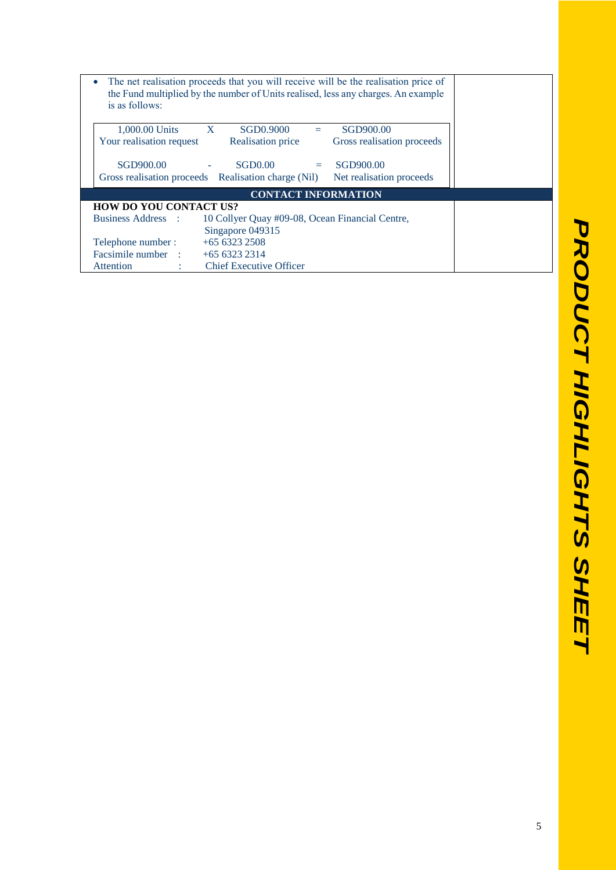| is as follows:                   | The net realisation proceeds that you will receive will be the realisation price of<br>the Fund multiplied by the number of Units realised, less any charges. An example |
|----------------------------------|--------------------------------------------------------------------------------------------------------------------------------------------------------------------------|
| 1,000.00 Units                   | $\mathbf{X}$<br>SGD0.9000<br>SGD900.00<br>$=$                                                                                                                            |
| Your realisation request         | Realisation price<br>Gross realisation proceeds                                                                                                                          |
| SGD900.00                        | SGD0.00<br>SGD900.00<br><b>Contract Contract</b><br>$\Delta \phi$                                                                                                        |
|                                  | Gross realisation proceeds Realisation charge (Nil)<br>Net realisation proceeds                                                                                          |
|                                  | <b>CONTACT INFORMATION</b>                                                                                                                                               |
| <b>HOW DO YOU CONTACT US?</b>    |                                                                                                                                                                          |
| <b>Business Address</b> :        | 10 Collyer Quay #09-08, Ocean Financial Centre,                                                                                                                          |
|                                  | Singapore 049315                                                                                                                                                         |
| Telephone number:                | $+6563232508$                                                                                                                                                            |
| Facsimile number : $+6563232314$ |                                                                                                                                                                          |
| Attention                        | <b>Chief Executive Officer</b>                                                                                                                                           |
|                                  |                                                                                                                                                                          |